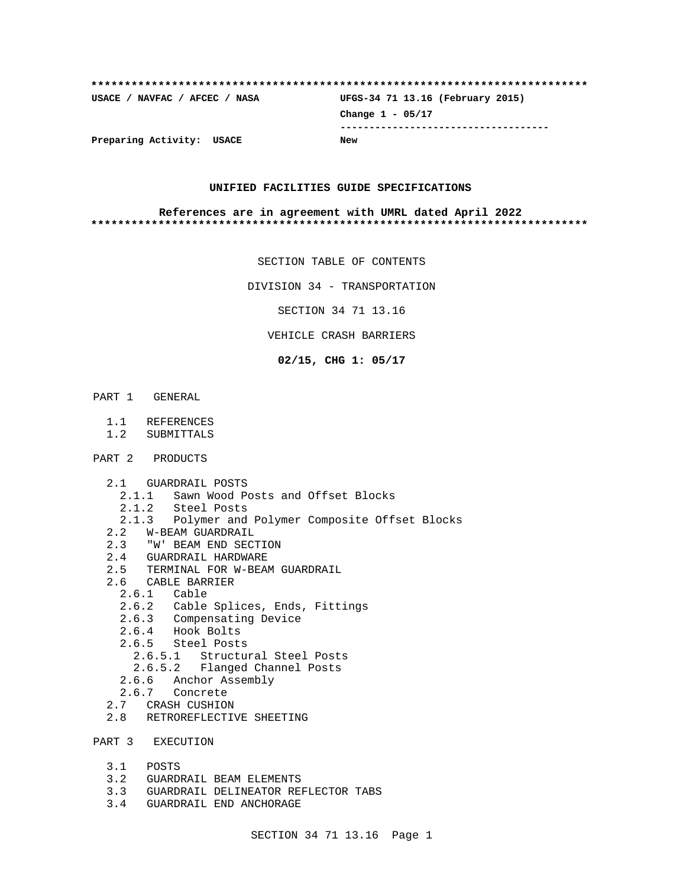| Preparing Activity: USACE     | <b>New</b>                       |
|-------------------------------|----------------------------------|
|                               |                                  |
|                               | Change $1 - 05/17$               |
| USACE / NAVFAC / AFCEC / NASA | UFGS-34 71 13.16 (February 2015) |
|                               |                                  |

## **UNIFIED FACILITIES GUIDE SPECIFICATIONS**

### **References are in agreement with UMRL dated April 2022 \*\*\*\*\*\*\*\*\*\*\*\*\*\*\*\*\*\*\*\*\*\*\*\*\*\*\*\*\*\*\*\*\*\*\*\*\*\*\*\*\*\*\*\*\*\*\*\*\*\*\*\*\*\*\*\*\*\*\*\*\*\*\*\*\*\*\*\*\*\*\*\*\*\***

SECTION TABLE OF CONTENTS

DIVISION 34 - TRANSPORTATION

SECTION 34 71 13.16

VEHICLE CRASH BARRIERS

**02/15, CHG 1: 05/17**

- PART 1 GENERAL
	- 1.1 REFERENCES
	- 1.2 SUBMITTALS
- PART 2 PRODUCTS
	- 2.1 GUARDRAIL POSTS
	- 2.1.1 Sawn Wood Posts and Offset Blocks
	-
	- 2.1.2 Steel Posts<br>2.1.3 Polymer and Polymer and Polymer Composite Offset Blocks
	- 2.2 W-BEAM GUARDRAIL
	- 2.3 "W' BEAM END SECTION<br>2.4 GUARDRAIL HARDWARE
	- 2.4 GUARDRAIL HARDWARE
	- 2.5 TERMINAL FOR W-BEAM GUARDRAIL
	- 2.6 CABLE BARRIER
		- 2.6.1 Cable
		- 2.6.2 Cable Splices, Ends, Fittings
		- 2.6.3 Compensating Device
		- 2.6.4 Hook Bolts
		- 2.6.5 Steel Posts
			- 2.6.5.1 Structural Steel Posts
			- 2.6.5.2 Flanged Channel Posts
		- 2.6.6 Anchor Assembly
		- 2.6.7 Concrete
	- 2.7 CRASH CUSHION
	- 2.8 RETROREFLECTIVE SHEETING

PART 3 EXECUTION

- 3.1 POSTS
- 3.2 GUARDRAIL BEAM ELEMENTS
- 3.3 GUARDRAIL DELINEATOR REFLECTOR TABS
- 3.4 GUARDRAIL END ANCHORAGE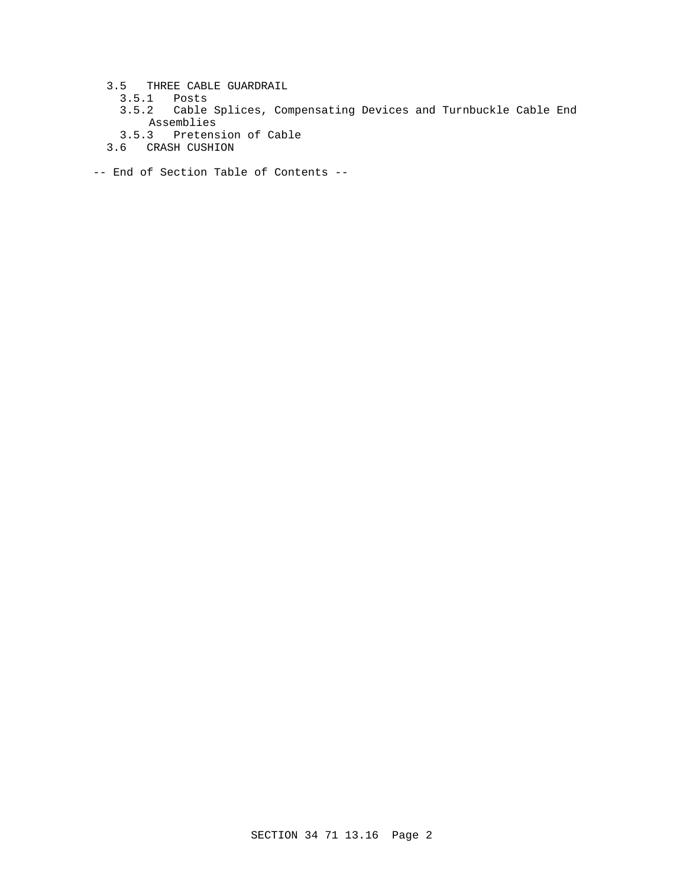- 3.5 THREE CABLE GUARDRAIL
	- 3.5.1 Posts
	- 3.5.2 Cable Splices, Compensating Devices and Turnbuckle Cable End Assemblies
	- 3.5.3 Pretension of Cable
- 3.6 CRASH CUSHION
- -- End of Section Table of Contents --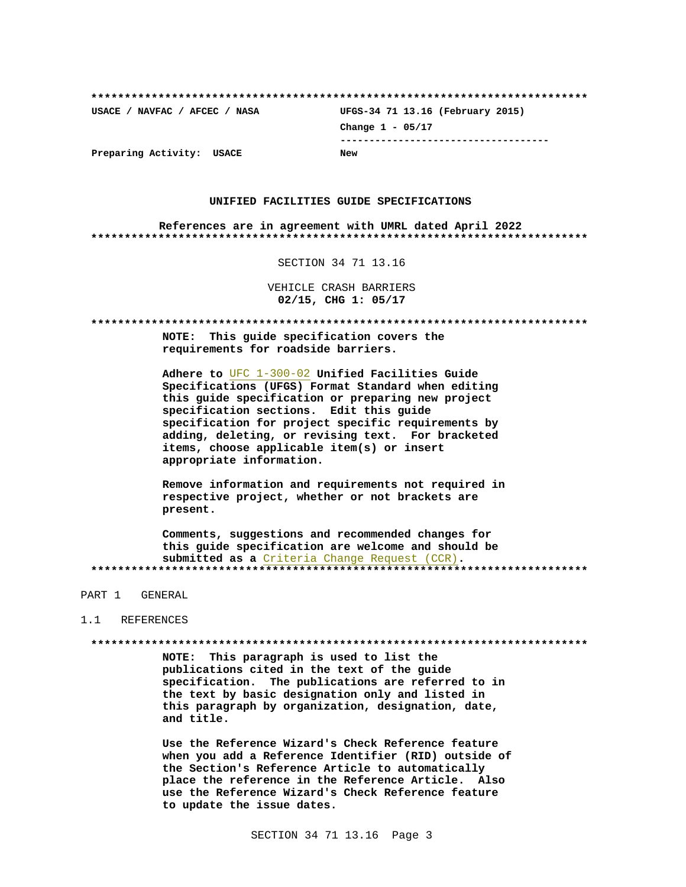USACE / NAVFAC / AFCEC / NASA UFGS-34 71 13.16 (February 2015) Change  $1 - 05/17$ --------------------------------------Preparing Activity: USACE **New** 

## UNIFIED FACILITIES GUIDE SPECIFICATIONS

References are in agreement with UMRL dated April 2022 

SECTION 34 71 13.16

VEHICLE CRASH BARRIERS 02/15, CHG 1: 05/17

NOTE: This guide specification covers the requirements for roadside barriers.

Adhere to UFC 1-300-02 Unified Facilities Guide Specifications (UFGS) Format Standard when editing this guide specification or preparing new project specification sections. Edit this quide specification for project specific requirements by adding, deleting, or revising text. For bracketed items, choose applicable item(s) or insert appropriate information.

Remove information and requirements not required in respective project, whether or not brackets are present.

Comments, suggestions and recommended changes for this guide specification are welcome and should be submitted as a Criteria Change Request (CCR). 

PART 1 GENERAL

### 1.1 REFERENCES

NOTE: This paragraph is used to list the publications cited in the text of the guide specification. The publications are referred to in the text by basic designation only and listed in this paragraph by organization, designation, date, and title.

Use the Reference Wizard's Check Reference feature when you add a Reference Identifier (RID) outside of the Section's Reference Article to automatically place the reference in the Reference Article. Also use the Reference Wizard's Check Reference feature to update the issue dates.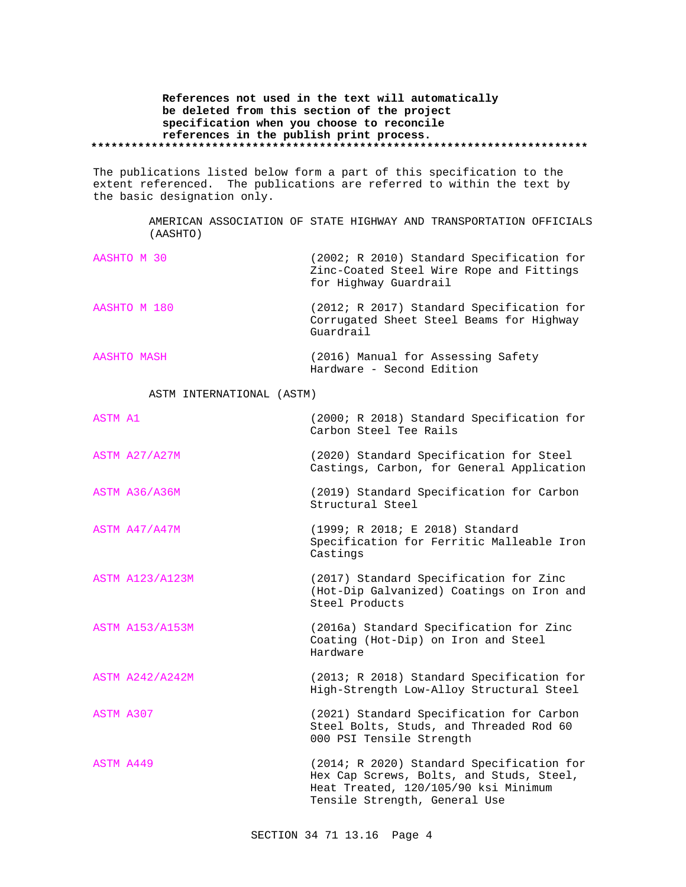**References not used in the text will automatically be deleted from this section of the project specification when you choose to reconcile references in the publish print process. \*\*\*\*\*\*\*\*\*\*\*\*\*\*\*\*\*\*\*\*\*\*\*\*\*\*\*\*\*\*\*\*\*\*\*\*\*\*\*\*\*\*\*\*\*\*\*\*\*\*\*\*\*\*\*\*\*\*\*\*\*\*\*\*\*\*\*\*\*\*\*\*\*\***

The publications listed below form a part of this specification to the extent referenced. The publications are referred to within the text by the basic designation only.

> AMERICAN ASSOCIATION OF STATE HIGHWAY AND TRANSPORTATION OFFICIALS (AASHTO)

> > Hardware - Second Edition

| AASHTO M 30  | (2002; R 2010) Standard Specification for<br>Zinc-Coated Steel Wire Rope and Fittings<br>for Highway Guardrail |
|--------------|----------------------------------------------------------------------------------------------------------------|
| AASHTO M 180 | (2012; R 2017) Standard Specification for<br>Corrugated Sheet Steel Beams for Highway<br>Guardrail             |
| AASHTO MASH  | (2016) Manual for Assessing Safety                                                                             |

ASTM INTERNATIONAL (ASTM)

| <b>ASTM A1</b>         | (2000; R 2018) Standard Specification for<br>Carbon Steel Tee Rails                                                                                            |
|------------------------|----------------------------------------------------------------------------------------------------------------------------------------------------------------|
| ASTM A27/A27M          | (2020) Standard Specification for Steel<br>Castings, Carbon, for General Application                                                                           |
| ASTM A36/A36M          | (2019) Standard Specification for Carbon<br>Structural Steel                                                                                                   |
| ASTM A47/A47M          | (1999; R 2018; E 2018) Standard<br>Specification for Ferritic Malleable Iron<br>Castings                                                                       |
| <b>ASTM A123/A123M</b> | (2017) Standard Specification for Zinc<br>(Hot-Dip Galvanized) Coatings on Iron and<br>Steel Products                                                          |
| <b>ASTM A153/A153M</b> | (2016a) Standard Specification for Zinc<br>Coating (Hot-Dip) on Iron and Steel<br>Hardware                                                                     |
| <b>ASTM A242/A242M</b> | (2013; R 2018) Standard Specification for<br>High-Strength Low-Alloy Structural Steel                                                                          |
| ASTM A307              | (2021) Standard Specification for Carbon<br>Steel Bolts, Studs, and Threaded Rod 60<br>000 PSI Tensile Strength                                                |
| ASTM A449              | (2014; R 2020) Standard Specification for<br>Hex Cap Screws, Bolts, and Studs, Steel,<br>Heat Treated, 120/105/90 ksi Minimum<br>Tensile Strength, General Use |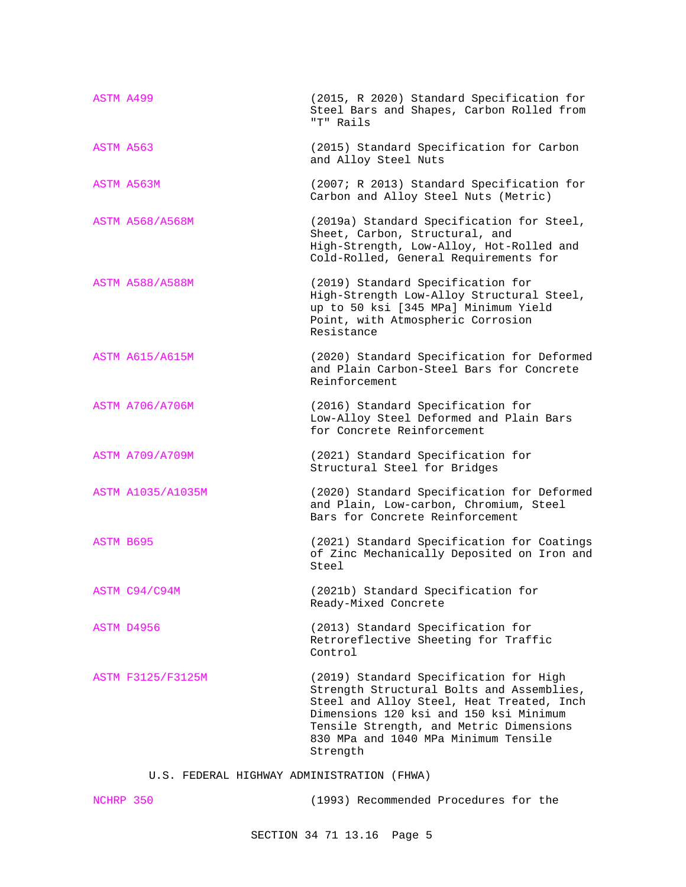| <b>ASTM A499</b> |                          | (2015, R 2020) Standard Specification for<br>Steel Bars and Shapes, Carbon Rolled from<br>"T" Rails                                                                                                                                                                       |
|------------------|--------------------------|---------------------------------------------------------------------------------------------------------------------------------------------------------------------------------------------------------------------------------------------------------------------------|
| ASTM A563        |                          | (2015) Standard Specification for Carbon<br>and Alloy Steel Nuts                                                                                                                                                                                                          |
|                  | ASTM A563M               | (2007; R 2013) Standard Specification for<br>Carbon and Alloy Steel Nuts (Metric)                                                                                                                                                                                         |
|                  | <b>ASTM A568/A568M</b>   | (2019a) Standard Specification for Steel,<br>Sheet, Carbon, Structural, and<br>High-Strength, Low-Alloy, Hot-Rolled and<br>Cold-Rolled, General Requirements for                                                                                                          |
|                  | <b>ASTM A588/A588M</b>   | (2019) Standard Specification for<br>High-Strength Low-Alloy Structural Steel,<br>up to 50 ksi [345 MPa] Minimum Yield<br>Point, with Atmospheric Corrosion<br>Resistance                                                                                                 |
|                  | <b>ASTM A615/A615M</b>   | (2020) Standard Specification for Deformed<br>and Plain Carbon-Steel Bars for Concrete<br>Reinforcement                                                                                                                                                                   |
|                  | <b>ASTM A706/A706M</b>   | (2016) Standard Specification for<br>Low-Alloy Steel Deformed and Plain Bars<br>for Concrete Reinforcement                                                                                                                                                                |
|                  | <b>ASTM A709/A709M</b>   | (2021) Standard Specification for<br>Structural Steel for Bridges                                                                                                                                                                                                         |
|                  | <b>ASTM A1035/A1035M</b> | (2020) Standard Specification for Deformed<br>and Plain, Low-carbon, Chromium, Steel<br>Bars for Concrete Reinforcement                                                                                                                                                   |
| ASTM B695        |                          | (2021) Standard Specification for Coatings<br>of Zinc Mechanically Deposited on Iron and<br>Steel                                                                                                                                                                         |
|                  | ASTM C94/C94M            | (2021b) Standard Specification for<br>Ready-Mixed Concrete                                                                                                                                                                                                                |
|                  | ASTM D4956               | (2013) Standard Specification for<br>Retroreflective Sheeting for Traffic<br>Control                                                                                                                                                                                      |
|                  | ASTM F3125/F3125M        | (2019) Standard Specification for High<br>Strength Structural Bolts and Assemblies,<br>Steel and Alloy Steel, Heat Treated, Inch<br>Dimensions 120 ksi and 150 ksi Minimum<br>Tensile Strength, and Metric Dimensions<br>830 MPa and 1040 MPa Minimum Tensile<br>Strength |

U.S. FEDERAL HIGHWAY ADMINISTRATION (FHWA)

| NCHRP 350 | (1993) Recommended Procedures for the |  |  |  |
|-----------|---------------------------------------|--|--|--|
|-----------|---------------------------------------|--|--|--|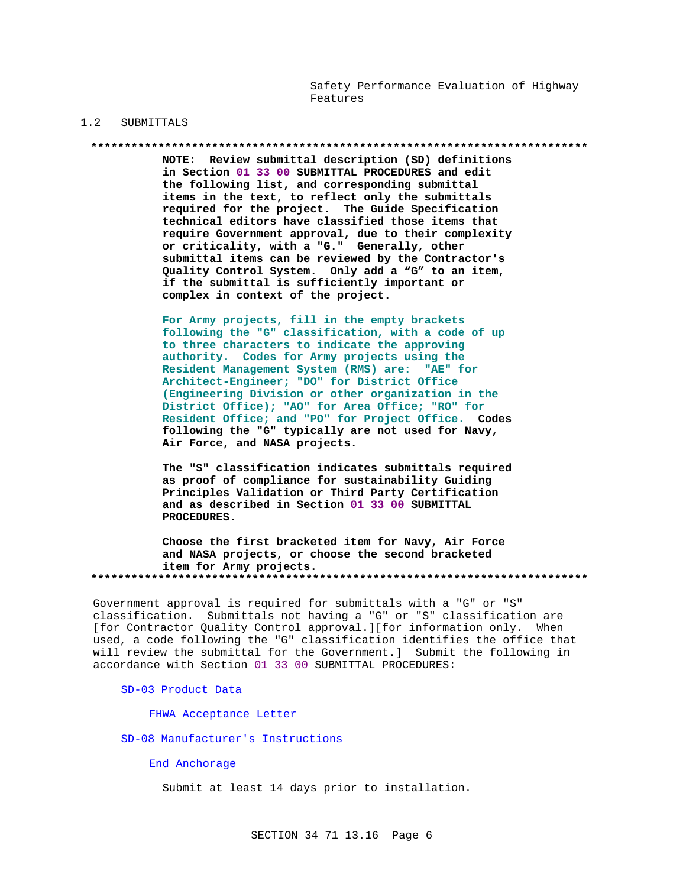Safety Performance Evaluation of Highway Features

### $1.2$ SUBMITTALS

### 

NOTE: Review submittal description (SD) definitions in Section 01 33 00 SUBMITTAL PROCEDURES and edit the following list, and corresponding submittal items in the text, to reflect only the submittals required for the project. The Guide Specification technical editors have classified those items that require Government approval, due to their complexity or criticality, with a "G." Generally, other submittal items can be reviewed by the Contractor's Quality Control System. Only add a "G" to an item, if the submittal is sufficiently important or complex in context of the project.

For Army projects, fill in the empty brackets following the "G" classification, with a code of up to three characters to indicate the approving authority. Codes for Army projects using the Resident Management System (RMS) are: "AE" for Architect-Engineer; "DO" for District Office (Engineering Division or other organization in the District Office); "AO" for Area Office; "RO" for Resident Office; and "PO" for Project Office. Codes following the "G" typically are not used for Navy, Air Force, and NASA projects.

The "S" classification indicates submittals required as proof of compliance for sustainability Guiding Principles Validation or Third Party Certification and as described in Section 01 33 00 SUBMITTAL PROCEDURES.

Choose the first bracketed item for Navy, Air Force and NASA projects, or choose the second bracketed item for Army projects. 

Government approval is required for submittals with a "G" or "S" classification. Submittals not having a "G" or "S" classification are [for Contractor Quality Control approval.][for information only. When used, a code following the "G" classification identifies the office that will review the submittal for the Government.] Submit the following in accordance with Section 01 33 00 SUBMITTAL PROCEDURES:

SD-03 Product Data

FHWA Acceptance Letter

SD-08 Manufacturer's Instructions

End Anchorage

Submit at least 14 days prior to installation.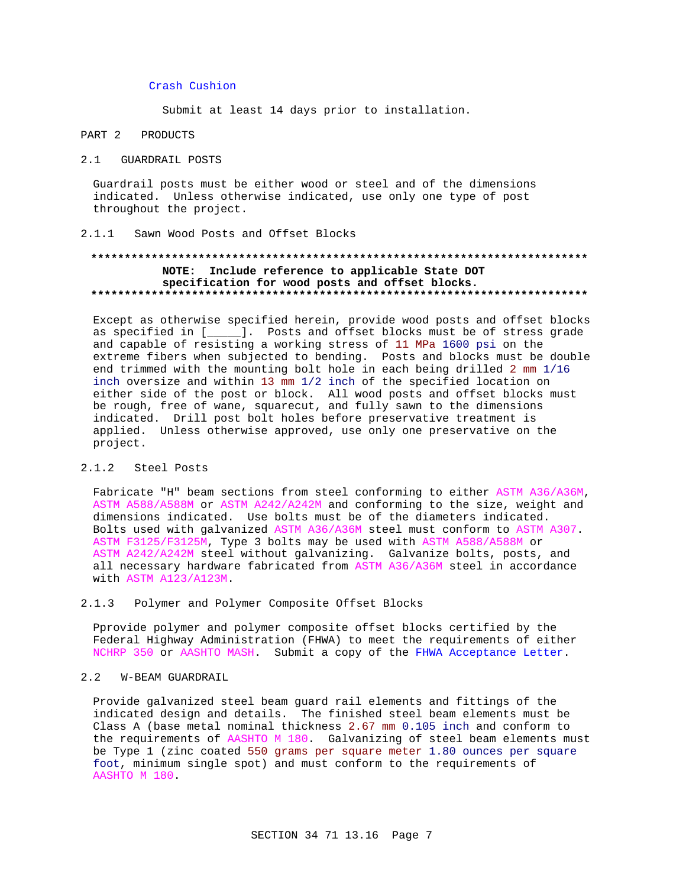## Crash Cushion

Submit at least 14 days prior to installation.

### PART 2 PRODUCTS

## 2.1 GUARDRAIL POSTS

Guardrail posts must be either wood or steel and of the dimensions indicated. Unless otherwise indicated, use only one type of post throughout the project.

#### Sawn Wood Posts and Offset Blocks  $2 \t1 \t1$

# NOTE: Include reference to applicable State DOT specification for wood posts and offset blocks.

Except as otherwise specified herein, provide wood posts and offset blocks as specified in [\_\_\_\_\_]. Posts and offset blocks must be of stress grade and capable of resisting a working stress of 11 MPa 1600 psi on the extreme fibers when subjected to bending. Posts and blocks must be double end trimmed with the mounting bolt hole in each being drilled 2 mm 1/16 inch oversize and within 13 mm 1/2 inch of the specified location on either side of the post or block. All wood posts and offset blocks must be rough, free of wane, squarecut, and fully sawn to the dimensions indicated. Drill post bolt holes before preservative treatment is applied. Unless otherwise approved, use only one preservative on the project.

### $2.1.2$ Steel Posts

Fabricate "H" beam sections from steel conforming to either ASTM A36/A36M, ASTM A588/A588M or ASTM A242/A242M and conforming to the size, weight and dimensions indicated. Use bolts must be of the diameters indicated. Bolts used with galvanized ASTM A36/A36M steel must conform to ASTM A307. ASTM F3125/F3125M, Type 3 bolts may be used with ASTM A588/A588M or ASTM A242/A242M steel without galvanizing. Galvanize bolts, posts, and all necessary hardware fabricated from ASTM A36/A36M steel in accordance with ASTM A123/A123M.

### $2.1.3$ Polymer and Polymer Composite Offset Blocks

Pprovide polymer and polymer composite offset blocks certified by the Federal Highway Administration (FHWA) to meet the requirements of either NCHRP 350 or AASHTO MASH. Submit a copy of the FHWA Acceptance Letter.

#### $2.2$ W-BEAM GUARDRAIL

Provide galvanized steel beam guard rail elements and fittings of the indicated design and details. The finished steel beam elements must be Class A (base metal nominal thickness 2.67 mm 0.105 inch and conform to the requirements of AASHTO M 180. Galvanizing of steel beam elements must be Type 1 (zinc coated 550 grams per square meter 1.80 ounces per square foot, minimum single spot) and must conform to the requirements of AASHTO M 180.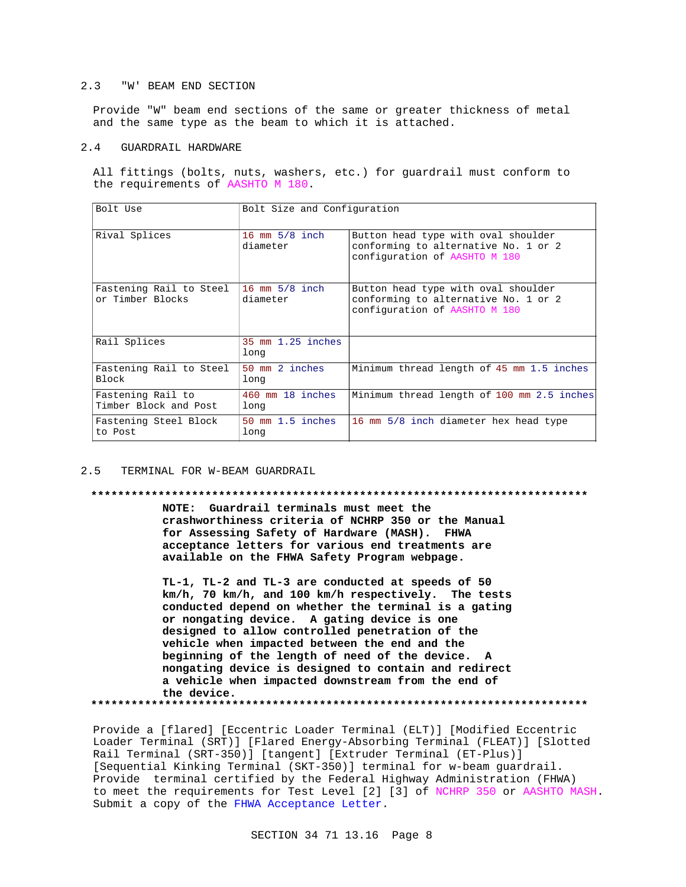## 2.3 "W' BEAM END SECTION

Provide "W" beam end sections of the same or greater thickness of metal and the same type as the beam to which it is attached.

## 2.4 GUARDRAIL HARDWARE

All fittings (bolts, nuts, washers, etc.) for guardrail must conform to the requirements of AASHTO M 180.

| Bolt Use                                    | Bolt Size and Configuration                 |                                                                                                              |
|---------------------------------------------|---------------------------------------------|--------------------------------------------------------------------------------------------------------------|
| Rival Splices                               | 16 mm $5/8$ inch<br>diameter                | Button head type with oval shoulder<br>conforming to alternative No. 1 or 2<br>configuration of AASHTO M 180 |
| Fastening Rail to Steel<br>or Timber Blocks | 16 mm $5/8$ inch<br>diameter                | Button head type with oval shoulder<br>conforming to alternative No. 1 or 2<br>configuration of AASHTO M 180 |
| Rail Splices                                | 35 mm 1.25 inches<br>long                   |                                                                                                              |
| Fastening Rail to Steel<br>Block            | 50 mm 2 inches<br>long                      | Minimum thread length of 45 mm 1.5 inches                                                                    |
| Fastening Rail to<br>Timber Block and Post  | $460$ mm $18$ inches<br>long                | Minimum thread length of 100 mm 2.5 inches                                                                   |
| Fastening Steel Block<br>to Post            | $50 \text{ mm } 1.5 \text{ inches}$<br>long | 16 mm 5/8 inch diameter hex head type                                                                        |

## 2.5 TERMINAL FOR W-BEAM GUARDRAIL

### **\*\*\*\*\*\*\*\*\*\*\*\*\*\*\*\*\*\*\*\*\*\*\*\*\*\*\*\*\*\*\*\*\*\*\*\*\*\*\*\*\*\*\*\*\*\*\*\*\*\*\*\*\*\*\*\*\*\*\*\*\*\*\*\*\*\*\*\*\*\*\*\*\*\***

**NOTE: Guardrail terminals must meet the crashworthiness criteria of NCHRP 350 or the Manual for Assessing Safety of Hardware (MASH). FHWA acceptance letters for various end treatments are available on the FHWA Safety Program webpage.**

**TL-1, TL-2 and TL-3 are conducted at speeds of 50 km/h, 70 km/h, and 100 km/h respectively. The tests conducted depend on whether the terminal is a gating or nongating device. A gating device is one designed to allow controlled penetration of the vehicle when impacted between the end and the beginning of the length of need of the device. A nongating device is designed to contain and redirect a vehicle when impacted downstream from the end of the device.**

**\*\*\*\*\*\*\*\*\*\*\*\*\*\*\*\*\*\*\*\*\*\*\*\*\*\*\*\*\*\*\*\*\*\*\*\*\*\*\*\*\*\*\*\*\*\*\*\*\*\*\*\*\*\*\*\*\*\*\*\*\*\*\*\*\*\*\*\*\*\*\*\*\*\***

Provide a [flared] [Eccentric Loader Terminal (ELT)] [Modified Eccentric Loader Terminal (SRT)] [Flared Energy-Absorbing Terminal (FLEAT)] [Slotted Rail Terminal (SRT-350)] [tangent] [Extruder Terminal (ET-Plus)] [Sequential Kinking Terminal (SKT-350)] terminal for w-beam guardrail. Provide terminal certified by the Federal Highway Administration (FHWA) to meet the requirements for Test Level [2] [3] of NCHRP 350 or AASHTO MASH. Submit a copy of the FHWA Acceptance Letter.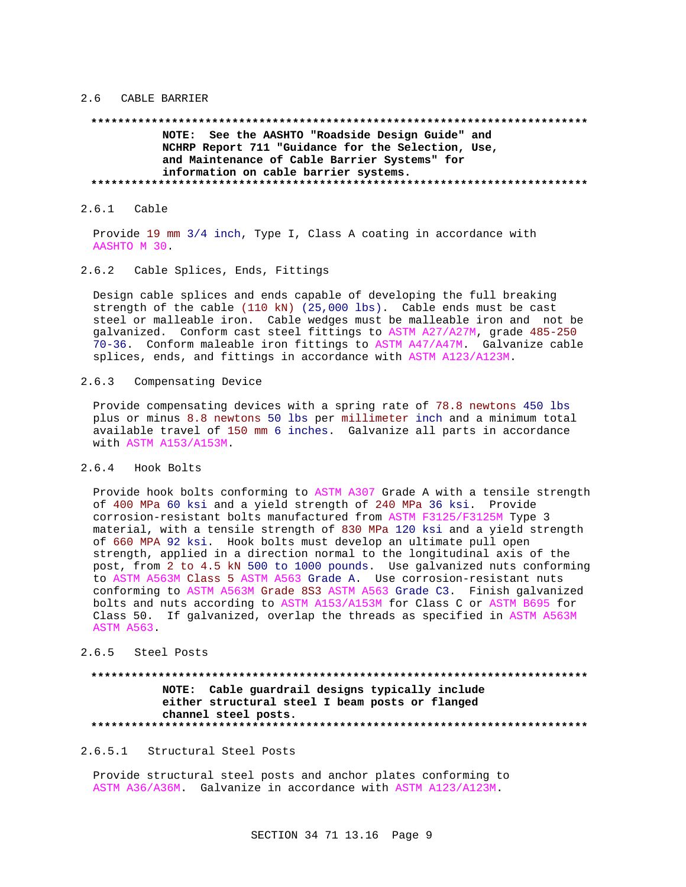## 2.6 CABLE BARRIER

# **\*\*\*\*\*\*\*\*\*\*\*\*\*\*\*\*\*\*\*\*\*\*\*\*\*\*\*\*\*\*\*\*\*\*\*\*\*\*\*\*\*\*\*\*\*\*\*\*\*\*\*\*\*\*\*\*\*\*\*\*\*\*\*\*\*\*\*\*\*\*\*\*\*\* NOTE: See the AASHTO "Roadside Design Guide" and NCHRP Report 711 "Guidance for the Selection, Use, and Maintenance of Cable Barrier Systems" for information on cable barrier systems. \*\*\*\*\*\*\*\*\*\*\*\*\*\*\*\*\*\*\*\*\*\*\*\*\*\*\*\*\*\*\*\*\*\*\*\*\*\*\*\*\*\*\*\*\*\*\*\*\*\*\*\*\*\*\*\*\*\*\*\*\*\*\*\*\*\*\*\*\*\*\*\*\*\***

2.6.1 Cable

Provide 19 mm 3/4 inch, Type I, Class A coating in accordance with AASHTO M 30.

# 2.6.2 Cable Splices, Ends, Fittings

Design cable splices and ends capable of developing the full breaking strength of the cable (110 kN) (25,000 lbs). Cable ends must be cast steel or malleable iron. Cable wedges must be malleable iron and not be galvanized. Conform cast steel fittings to ASTM A27/A27M, grade 485-250 70-36. Conform maleable iron fittings to ASTM A47/A47M. Galvanize cable splices, ends, and fittings in accordance with ASTM A123/A123M.

2.6.3 Compensating Device

Provide compensating devices with a spring rate of 78.8 newtons 450 lbs plus or minus 8.8 newtons 50 lbs per millimeter inch and a minimum total available travel of 150 mm 6 inches. Galvanize all parts in accordance with ASTM A153/A153M.

2.6.4 Hook Bolts

Provide hook bolts conforming to ASTM A307 Grade A with a tensile strength of 400 MPa 60 ksi and a yield strength of 240 MPa 36 ksi. Provide corrosion-resistant bolts manufactured from ASTM F3125/F3125M Type 3 material, with a tensile strength of 830 MPa 120 ksi and a yield strength of 660 MPA 92 ksi. Hook bolts must develop an ultimate pull open strength, applied in a direction normal to the longitudinal axis of the post, from 2 to 4.5 kN 500 to 1000 pounds. Use galvanized nuts conforming to ASTM A563M Class 5 ASTM A563 Grade A. Use corrosion-resistant nuts conforming to ASTM A563M Grade 8S3 ASTM A563 Grade C3. Finish galvanized bolts and nuts according to ASTM A153/A153M for Class C or ASTM B695 for Class 50. If galvanized, overlap the threads as specified in ASTM A563M ASTM A563.

### 2.6.5 Steel Posts

# **\*\*\*\*\*\*\*\*\*\*\*\*\*\*\*\*\*\*\*\*\*\*\*\*\*\*\*\*\*\*\*\*\*\*\*\*\*\*\*\*\*\*\*\*\*\*\*\*\*\*\*\*\*\*\*\*\*\*\*\*\*\*\*\*\*\*\*\*\*\*\*\*\*\* NOTE: Cable guardrail designs typically include either structural steel I beam posts or flanged channel steel posts. \*\*\*\*\*\*\*\*\*\*\*\*\*\*\*\*\*\*\*\*\*\*\*\*\*\*\*\*\*\*\*\*\*\*\*\*\*\*\*\*\*\*\*\*\*\*\*\*\*\*\*\*\*\*\*\*\*\*\*\*\*\*\*\*\*\*\*\*\*\*\*\*\*\***

## 2.6.5.1 Structural Steel Posts

Provide structural steel posts and anchor plates conforming to ASTM A36/A36M. Galvanize in accordance with ASTM A123/A123M.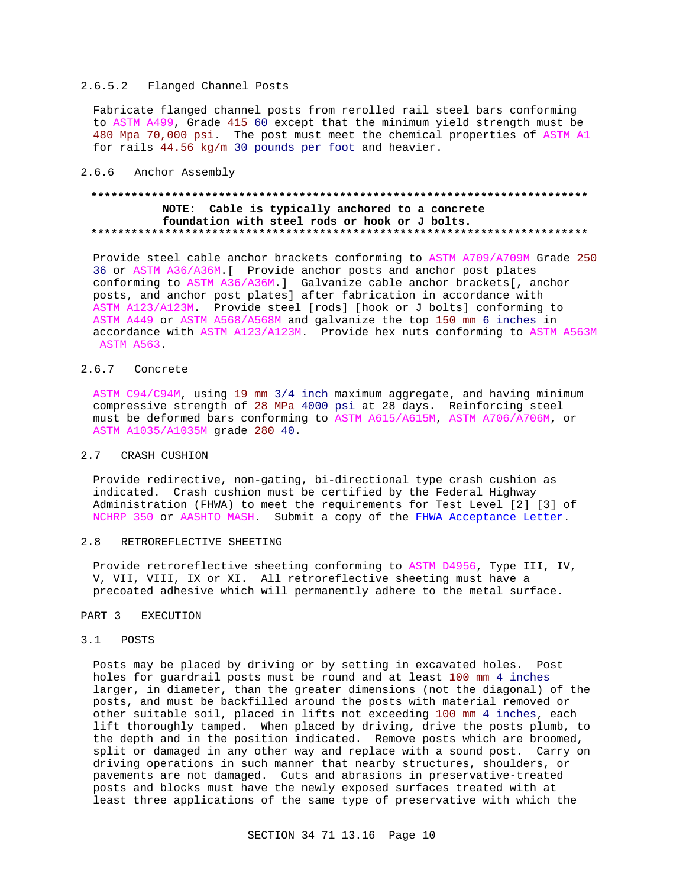# 2.6.5.2 Flanged Channel Posts

Fabricate flanged channel posts from rerolled rail steel bars conforming to ASTM A499, Grade 415 60 except that the minimum yield strength must be 480 Mpa 70,000 psi. The post must meet the chemical properties of ASTM A1 for rails 44.56 kg/m 30 pounds per foot and heavier.

## 2.6.6 Anchor Assembly

# **\*\*\*\*\*\*\*\*\*\*\*\*\*\*\*\*\*\*\*\*\*\*\*\*\*\*\*\*\*\*\*\*\*\*\*\*\*\*\*\*\*\*\*\*\*\*\*\*\*\*\*\*\*\*\*\*\*\*\*\*\*\*\*\*\*\*\*\*\*\*\*\*\*\* NOTE: Cable is typically anchored to a concrete foundation with steel rods or hook or J bolts. \*\*\*\*\*\*\*\*\*\*\*\*\*\*\*\*\*\*\*\*\*\*\*\*\*\*\*\*\*\*\*\*\*\*\*\*\*\*\*\*\*\*\*\*\*\*\*\*\*\*\*\*\*\*\*\*\*\*\*\*\*\*\*\*\*\*\*\*\*\*\*\*\*\***

Provide steel cable anchor brackets conforming to ASTM A709/A709M Grade 250 36 or ASTM A36/A36M.[ Provide anchor posts and anchor post plates conforming to ASTM A36/A36M.] Galvanize cable anchor brackets[, anchor posts, and anchor post plates] after fabrication in accordance with ASTM A123/A123M. Provide steel [rods] [hook or J bolts] conforming to ASTM A449 or ASTM A568/A568M and galvanize the top 150 mm 6 inches in accordance with ASTM A123/A123M. Provide hex nuts conforming to ASTM A563M ASTM A563.

# 2.6.7 Concrete

ASTM C94/C94M, using 19 mm 3/4 inch maximum aggregate, and having minimum compressive strength of 28 MPa 4000 psi at 28 days. Reinforcing steel must be deformed bars conforming to ASTM A615/A615M, ASTM A706/A706M, or ASTM A1035/A1035M grade 280 40.

## 2.7 CRASH CUSHION

Provide redirective, non-gating, bi-directional type crash cushion as indicated. Crash cushion must be certified by the Federal Highway Administration (FHWA) to meet the requirements for Test Level [2] [3] of NCHRP 350 or AASHTO MASH. Submit a copy of the FHWA Acceptance Letter.

### 2.8 RETROREFLECTIVE SHEETING

Provide retroreflective sheeting conforming to ASTM D4956, Type III, IV, V, VII, VIII, IX or XI. All retroreflective sheeting must have a precoated adhesive which will permanently adhere to the metal surface.

## PART 3 EXECUTION

## 3.1 POSTS

Posts may be placed by driving or by setting in excavated holes. Post holes for guardrail posts must be round and at least 100 mm 4 inches larger, in diameter, than the greater dimensions (not the diagonal) of the posts, and must be backfilled around the posts with material removed or other suitable soil, placed in lifts not exceeding 100 mm 4 inches, each lift thoroughly tamped. When placed by driving, drive the posts plumb, to the depth and in the position indicated. Remove posts which are broomed, split or damaged in any other way and replace with a sound post. Carry on driving operations in such manner that nearby structures, shoulders, or pavements are not damaged. Cuts and abrasions in preservative-treated posts and blocks must have the newly exposed surfaces treated with at least three applications of the same type of preservative with which the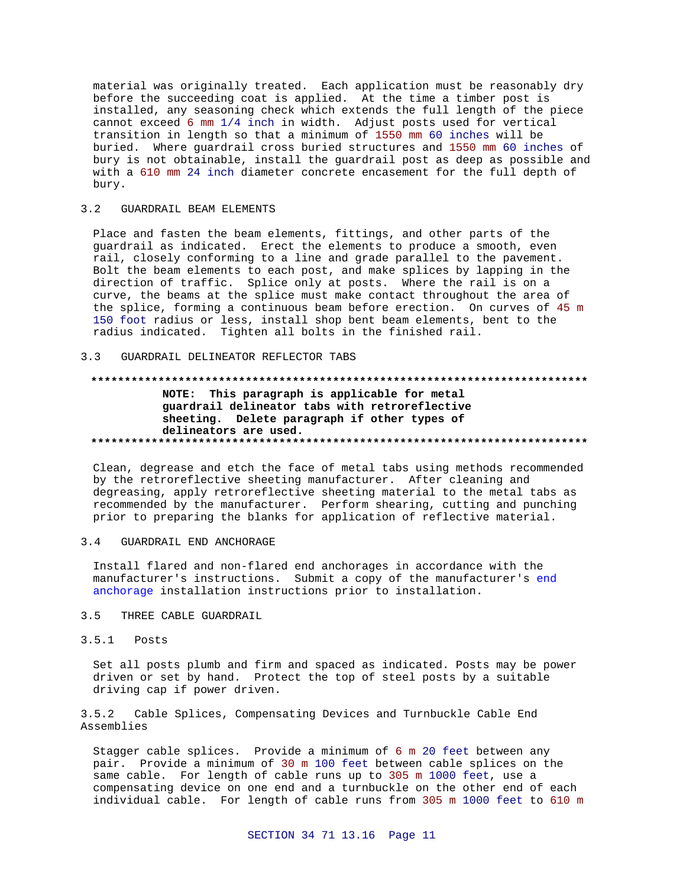material was originally treated. Each application must be reasonably dry before the succeeding coat is applied. At the time a timber post is installed, any seasoning check which extends the full length of the piece cannot exceed 6 mm 1/4 inch in width. Adjust posts used for vertical transition in length so that a minimum of 1550 mm 60 inches will be buried. Where guardrail cross buried structures and 1550 mm 60 inches of bury is not obtainable, install the guardrail post as deep as possible and with a 610 mm 24 inch diameter concrete encasement for the full depth of bury.

#### $3.2$ GUARDRAIL BEAM ELEMENTS

Place and fasten the beam elements, fittings, and other parts of the guardrail as indicated. Erect the elements to produce a smooth, even rail, closely conforming to a line and grade parallel to the pavement. Bolt the beam elements to each post, and make splices by lapping in the direction of traffic. Splice only at posts. Where the rail is on a curve, the beams at the splice must make contact throughout the area of the splice, forming a continuous beam before erection. On curves of 45 m 150 foot radius or less, install shop bent beam elements, bent to the radius indicated. Tighten all bolts in the finished rail.

### GUARDRAIL DELINEATOR REFLECTOR TABS  $3.3$

# NOTE: This paragraph is applicable for metal guardrail delineator tabs with retroreflective sheeting. Delete paragraph if other types of delineators are used.

Clean, degrease and etch the face of metal tabs using methods recommended by the retroreflective sheeting manufacturer. After cleaning and degreasing, apply retroreflective sheeting material to the metal tabs as recommended by the manufacturer. Perform shearing, cutting and punching prior to preparing the blanks for application of reflective material.

#### $3.4$ GUARDRAIL END ANCHORAGE

Install flared and non-flared end anchorages in accordance with the manufacturer's instructions. Submit a copy of the manufacturer's end anchorage installation instructions prior to installation.

### $3.5$ THREE CABLE GUARDRAIL

# $3.5.1$  Posts

Set all posts plumb and firm and spaced as indicated. Posts may be power driven or set by hand. Protect the top of steel posts by a suitable driving cap if power driven.

Cable Splices, Compensating Devices and Turnbuckle Cable End  $3.5.2$ Assemblies

Stagger cable splices. Provide a minimum of 6 m 20 feet between any pair. Provide a minimum of 30 m 100 feet between cable splices on the same cable. For length of cable runs up to 305 m 1000 feet, use a compensating device on one end and a turnbuckle on the other end of each individual cable. For length of cable runs from 305 m 1000 feet to 610 m